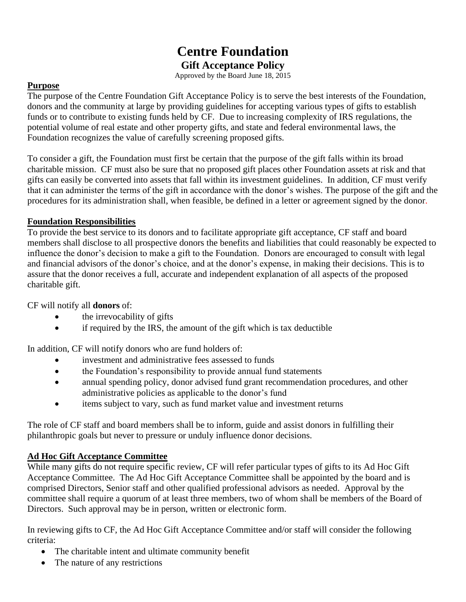# **Centre Foundation Gift Acceptance Policy**

Approved by the Board June 18, 2015

## **Purpose**

The purpose of the Centre Foundation Gift Acceptance Policy is to serve the best interests of the Foundation, donors and the community at large by providing guidelines for accepting various types of gifts to establish funds or to contribute to existing funds held by CF. Due to increasing complexity of IRS regulations, the potential volume of real estate and other property gifts, and state and federal environmental laws, the Foundation recognizes the value of carefully screening proposed gifts.

To consider a gift, the Foundation must first be certain that the purpose of the gift falls within its broad charitable mission. CF must also be sure that no proposed gift places other Foundation assets at risk and that gifts can easily be converted into assets that fall within its investment guidelines. In addition, CF must verify that it can administer the terms of the gift in accordance with the donor's wishes. The purpose of the gift and the procedures for its administration shall, when feasible, be defined in a letter or agreement signed by the donor.

## **Foundation Responsibilities**

To provide the best service to its donors and to facilitate appropriate gift acceptance, CF staff and board members shall disclose to all prospective donors the benefits and liabilities that could reasonably be expected to influence the donor's decision to make a gift to the Foundation. Donors are encouraged to consult with legal and financial advisors of the donor's choice, and at the donor's expense, in making their decisions. This is to assure that the donor receives a full, accurate and independent explanation of all aspects of the proposed charitable gift.

CF will notify all **donors** of:

- the irrevocability of gifts
- if required by the IRS, the amount of the gift which is tax deductible

In addition, CF will notify donors who are fund holders of:

- investment and administrative fees assessed to funds
- the Foundation's responsibility to provide annual fund statements
- annual spending policy, donor advised fund grant recommendation procedures, and other administrative policies as applicable to the donor's fund
- items subject to vary, such as fund market value and investment returns

The role of CF staff and board members shall be to inform, guide and assist donors in fulfilling their philanthropic goals but never to pressure or unduly influence donor decisions.

## **Ad Hoc Gift Acceptance Committee**

While many gifts do not require specific review, CF will refer particular types of gifts to its Ad Hoc Gift Acceptance Committee. The Ad Hoc Gift Acceptance Committee shall be appointed by the board and is comprised Directors, Senior staff and other qualified professional advisors as needed. Approval by the committee shall require a quorum of at least three members, two of whom shall be members of the Board of Directors. Such approval may be in person, written or electronic form.

In reviewing gifts to CF, the Ad Hoc Gift Acceptance Committee and/or staff will consider the following criteria:

- The charitable intent and ultimate community benefit
- The nature of any restrictions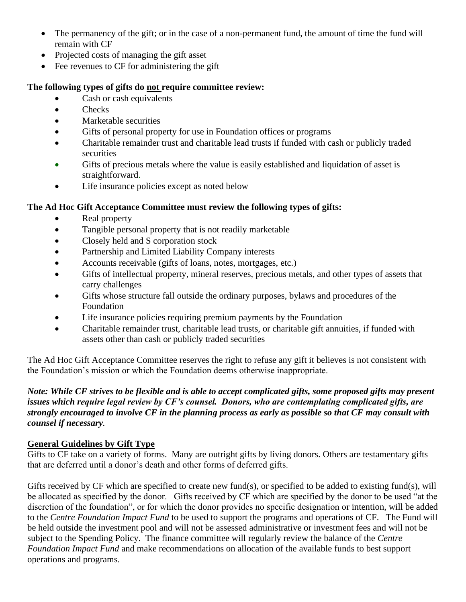- The permanency of the gift; or in the case of a non-permanent fund, the amount of time the fund will remain with CF
- Projected costs of managing the gift asset
- Fee revenues to CF for administering the gift

## **The following types of gifts do not require committee review:**

- Cash or cash equivalents
- Checks
- Marketable securities
- Gifts of personal property for use in Foundation offices or programs
- Charitable remainder trust and charitable lead trusts if funded with cash or publicly traded securities
- Gifts of precious metals where the value is easily established and liquidation of asset is straightforward.
- Life insurance policies except as noted below

# **The Ad Hoc Gift Acceptance Committee must review the following types of gifts:**

- Real property
- Tangible personal property that is not readily marketable
- Closely held and S corporation stock
- Partnership and Limited Liability Company interests
- Accounts receivable (gifts of loans, notes, mortgages, etc.)
- Gifts of intellectual property, mineral reserves, precious metals, and other types of assets that carry challenges
- Gifts whose structure fall outside the ordinary purposes, bylaws and procedures of the Foundation
- Life insurance policies requiring premium payments by the Foundation
- Charitable remainder trust, charitable lead trusts, or charitable gift annuities, if funded with assets other than cash or publicly traded securities

The Ad Hoc Gift Acceptance Committee reserves the right to refuse any gift it believes is not consistent with the Foundation's mission or which the Foundation deems otherwise inappropriate.

*Note: While CF strives to be flexible and is able to accept complicated gifts, some proposed gifts may present issues which require legal review by CF's counsel. Donors, who are contemplating complicated gifts, are strongly encouraged to involve CF in the planning process as early as possible so that CF may consult with counsel if necessary.* 

# **General Guidelines by Gift Type**

Gifts to CF take on a variety of forms. Many are outright gifts by living donors. Others are testamentary gifts that are deferred until a donor's death and other forms of deferred gifts.

Gifts received by CF which are specified to create new fund(s), or specified to be added to existing fund(s), will be allocated as specified by the donor. Gifts received by CF which are specified by the donor to be used "at the discretion of the foundation", or for which the donor provides no specific designation or intention, will be added to the *Centre Foundation Impact Fund* to be used to support the programs and operations of CF. The Fund will be held outside the investment pool and will not be assessed administrative or investment fees and will not be subject to the Spending Policy. The finance committee will regularly review the balance of the *Centre Foundation Impact Fund* and make recommendations on allocation of the available funds to best support operations and programs.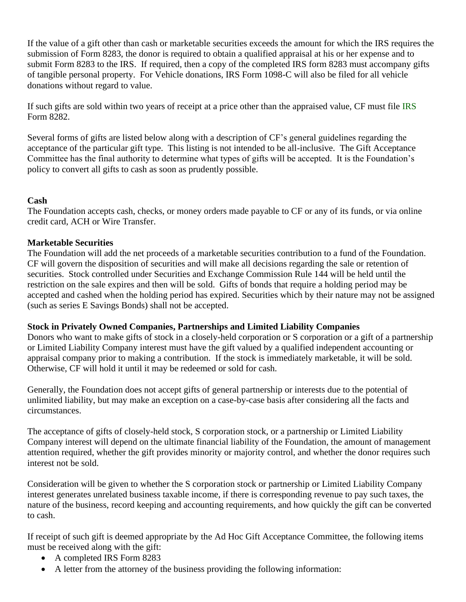If the value of a gift other than cash or marketable securities exceeds the amount for which the IRS requires the submission of Form 8283, the donor is required to obtain a qualified appraisal at his or her expense and to submit Form 8283 to the IRS. If required, then a copy of the completed IRS form 8283 must accompany gifts of tangible personal property. For Vehicle donations, IRS Form 1098-C will also be filed for all vehicle donations without regard to value.

If such gifts are sold within two years of receipt at a price other than the appraised value, CF must file IRS Form 8282.

Several forms of gifts are listed below along with a description of CF's general guidelines regarding the acceptance of the particular gift type. This listing is not intended to be all-inclusive. The Gift Acceptance Committee has the final authority to determine what types of gifts will be accepted. It is the Foundation's policy to convert all gifts to cash as soon as prudently possible.

## **Cash**

The Foundation accepts cash, checks, or money orders made payable to CF or any of its funds, or via online credit card, ACH or Wire Transfer.

## **Marketable Securities**

The Foundation will add the net proceeds of a marketable securities contribution to a fund of the Foundation. CF will govern the disposition of securities and will make all decisions regarding the sale or retention of securities. Stock controlled under Securities and Exchange Commission Rule 144 will be held until the restriction on the sale expires and then will be sold. Gifts of bonds that require a holding period may be accepted and cashed when the holding period has expired. Securities which by their nature may not be assigned (such as series E Savings Bonds) shall not be accepted.

## **Stock in Privately Owned Companies, Partnerships and Limited Liability Companies**

Donors who want to make gifts of stock in a closely-held corporation or S corporation or a gift of a partnership or Limited Liability Company interest must have the gift valued by a qualified independent accounting or appraisal company prior to making a contribution. If the stock is immediately marketable, it will be sold. Otherwise, CF will hold it until it may be redeemed or sold for cash.

Generally, the Foundation does not accept gifts of general partnership or interests due to the potential of unlimited liability, but may make an exception on a case-by-case basis after considering all the facts and circumstances.

The acceptance of gifts of closely-held stock, S corporation stock, or a partnership or Limited Liability Company interest will depend on the ultimate financial liability of the Foundation, the amount of management attention required, whether the gift provides minority or majority control, and whether the donor requires such interest not be sold.

Consideration will be given to whether the S corporation stock or partnership or Limited Liability Company interest generates unrelated business taxable income, if there is corresponding revenue to pay such taxes, the nature of the business, record keeping and accounting requirements, and how quickly the gift can be converted to cash.

If receipt of such gift is deemed appropriate by the Ad Hoc Gift Acceptance Committee, the following items must be received along with the gift:

- A completed IRS Form 8283
- A letter from the attorney of the business providing the following information: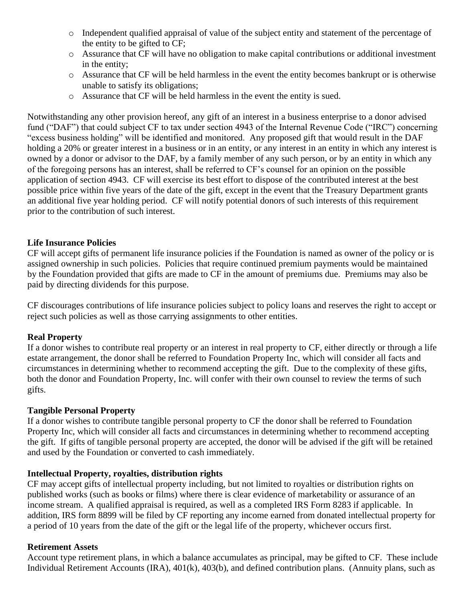- o Independent qualified appraisal of value of the subject entity and statement of the percentage of the entity to be gifted to CF;
- o Assurance that CF will have no obligation to make capital contributions or additional investment in the entity;
- o Assurance that CF will be held harmless in the event the entity becomes bankrupt or is otherwise unable to satisfy its obligations;
- o Assurance that CF will be held harmless in the event the entity is sued.

Notwithstanding any other provision hereof, any gift of an interest in a business enterprise to a donor advised fund ("DAF") that could subject CF to tax under section 4943 of the Internal Revenue Code ("IRC") concerning "excess business holding" will be identified and monitored. Any proposed gift that would result in the DAF holding a 20% or greater interest in a business or in an entity, or any interest in an entity in which any interest is owned by a donor or advisor to the DAF, by a family member of any such person, or by an entity in which any of the foregoing persons has an interest, shall be referred to CF's counsel for an opinion on the possible application of section 4943. CF will exercise its best effort to dispose of the contributed interest at the best possible price within five years of the date of the gift, except in the event that the Treasury Department grants an additional five year holding period. CF will notify potential donors of such interests of this requirement prior to the contribution of such interest.

## **Life Insurance Policies**

CF will accept gifts of permanent life insurance policies if the Foundation is named as owner of the policy or is assigned ownership in such policies. Policies that require continued premium payments would be maintained by the Foundation provided that gifts are made to CF in the amount of premiums due. Premiums may also be paid by directing dividends for this purpose.

CF discourages contributions of life insurance policies subject to policy loans and reserves the right to accept or reject such policies as well as those carrying assignments to other entities.

#### **Real Property**

If a donor wishes to contribute real property or an interest in real property to CF, either directly or through a life estate arrangement, the donor shall be referred to Foundation Property Inc, which will consider all facts and circumstances in determining whether to recommend accepting the gift. Due to the complexity of these gifts, both the donor and Foundation Property, Inc. will confer with their own counsel to review the terms of such gifts.

#### **Tangible Personal Property**

If a donor wishes to contribute tangible personal property to CF the donor shall be referred to Foundation Property Inc, which will consider all facts and circumstances in determining whether to recommend accepting the gift. If gifts of tangible personal property are accepted, the donor will be advised if the gift will be retained and used by the Foundation or converted to cash immediately.

#### **Intellectual Property, royalties, distribution rights**

CF may accept gifts of intellectual property including, but not limited to royalties or distribution rights on published works (such as books or films) where there is clear evidence of marketability or assurance of an income stream. A qualified appraisal is required, as well as a completed IRS Form 8283 if applicable. In addition, IRS form 8899 will be filed by CF reporting any income earned from donated intellectual property for a period of 10 years from the date of the gift or the legal life of the property, whichever occurs first.

#### **Retirement Assets**

Account type retirement plans, in which a balance accumulates as principal, may be gifted to CF. These include Individual Retirement Accounts (IRA), 401(k), 403(b), and defined contribution plans. (Annuity plans, such as